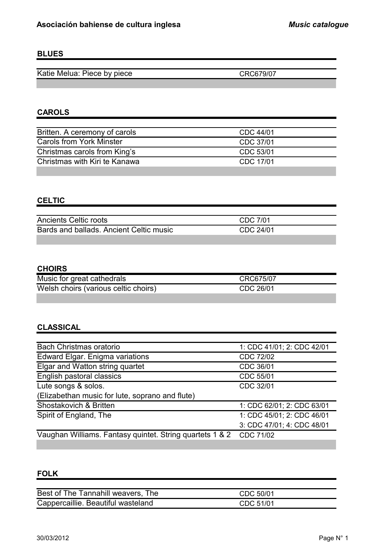### **BLUES**

Katie Melua: Piece by piece CRC679/07

# **CAROLS**

| Britten. A ceremony of carols | CDC 44/01 |
|-------------------------------|-----------|
| Carols from York Minster      | CDC 37/01 |
| Christmas carols from King's  | CDC 53/01 |
| Christmas with Kiri te Kanawa | CDC 17/01 |
|                               |           |

### **CELTIC**

| <b>Ancients Celtic roots</b>            | CDC 7/01  |
|-----------------------------------------|-----------|
| Bards and ballads. Ancient Celtic music | CDC 24/01 |
|                                         |           |

# **CHOIRS**

| Music for great cathedrals           | CRC675/07 |
|--------------------------------------|-----------|
| Welsh choirs (various celtic choirs) | CDC 26/01 |
|                                      |           |

#### **CLASSICAL**

| <b>Bach Christmas oratorio</b>                           | 1: CDC 41/01; 2: CDC 42/01 |
|----------------------------------------------------------|----------------------------|
| Edward Elgar. Enigma variations                          | CDC 72/02                  |
| Elgar and Watton string quartet                          | CDC 36/01                  |
| English pastoral classics                                | CDC 55/01                  |
| Lute songs & solos.                                      | CDC 32/01                  |
| (Elizabethan music for lute, soprano and flute)          |                            |
| Shostakovich & Britten                                   | 1: CDC 62/01; 2: CDC 63/01 |
| Spirit of England, The                                   | 1: CDC 45/01; 2: CDC 46/01 |
|                                                          | 3: CDC 47/01; 4: CDC 48/01 |
| Vaughan Williams. Fantasy quintet. String quartets 1 & 2 | CDC 71/02                  |

### **FOLK**

| Best of The Tannahill weavers, The | CDC 50/01 |
|------------------------------------|-----------|
| Cappercaillie. Beautiful wasteland | CDC 51/01 |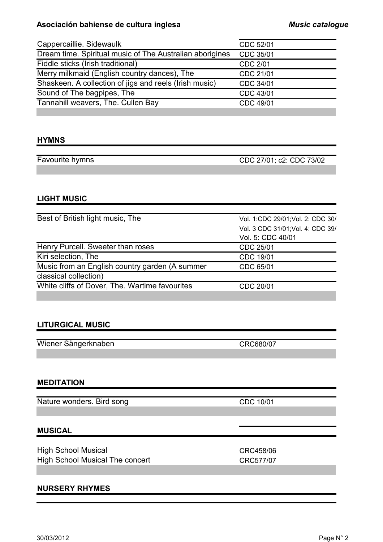#### **Asociación bahiense de cultura inglesa** *Music catalogue*

| Cappercaillie. Sidewaulk                                 | CDC 52/01       |
|----------------------------------------------------------|-----------------|
| Dream time. Spiritual music of The Australian aborigines | CDC 35/01       |
| Fiddle sticks (Irish traditional)                        | <b>CDC 2/01</b> |
| Merry milkmaid (English country dances), The             | CDC 21/01       |
| Shaskeen. A collection of jigs and reels (Irish music)   | CDC 34/01       |
| Sound of The bagpipes, The                               | CDC 43/01       |
| Tannahill weavers, The. Cullen Bay                       | CDC 49/01       |
|                                                          |                 |

#### **HYMNS**

Favourite hymns CDC 27/01; c2: CDC 73/02

#### **LIGHT MUSIC**

| Best of British light music, The               | Vol. 1:CDC 29/01; Vol. 2: CDC 30/ |
|------------------------------------------------|-----------------------------------|
|                                                | Vol. 3 CDC 31/01; Vol. 4: CDC 39/ |
|                                                | Vol. 5: CDC 40/01                 |
| Henry Purcell. Sweeter than roses              | CDC 25/01                         |
| Kiri selection, The                            | CDC 19/01                         |
| Music from an English country garden (A summer | CDC 65/01                         |
| classical collection)                          |                                   |
| White cliffs of Dover, The. Wartime favourites | CDC 20/01                         |
|                                                |                                   |

### **LITURGICAL MUSIC**

Wiener Sängerknaben CRC680/07

#### **MEDITATION**

Nature wonders. Bird song CDC 10/01

#### **MUSICAL**

High School Musical **CRC458/06** High School Musical The concert CRC577/07

#### **NURSERY RHYMES**

30/03/2012 Page N° 2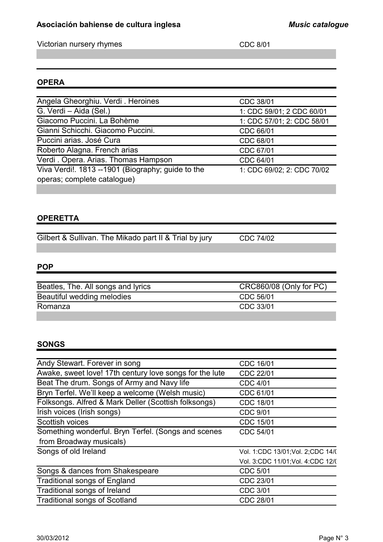# **Asociación bahiense de cultura inglesa** *Music catalogue*

Victorian nursery rhymes CDC 8/01

# **OPERA**

| Angela Gheorghiu. Verdi. Heroines                 | CDC 38/01                  |
|---------------------------------------------------|----------------------------|
| G. Verdi - Aida (Sel.)                            | 1: CDC 59/01; 2 CDC 60/01  |
| Giacomo Puccini. La Bohème                        | 1: CDC 57/01; 2: CDC 58/01 |
| Gianni Schicchi. Giacomo Puccini.                 | CDC 66/01                  |
| Puccini arias. José Cura                          | CDC 68/01                  |
| Roberto Alagna. French arias                      | CDC 67/01                  |
| Verdi. Opera. Arias. Thomas Hampson               | CDC 64/01                  |
| Viva Verdi!. 1813 --1901 (Biography; guide to the | 1: CDC 69/02; 2: CDC 70/02 |
| operas; complete catalogue)                       |                            |
|                                                   |                            |

# **OPERETTA**

Gilbert & Sullivan. The Mikado part II & Trial by jury CDC 74/02

# **POP**

| Beatles, The. All songs and lyrics | CRC860/08 (Only for PC) |
|------------------------------------|-------------------------|
| Beautiful wedding melodies         | CDC 56/01               |
| Romanza                            | CDC 33/01               |
|                                    |                         |

# **SONGS**

| Andy Stewart. Forever in song                           | CDC 16/01                          |
|---------------------------------------------------------|------------------------------------|
| Awake, sweet love! 17th century love songs for the lute | CDC 22/01                          |
| Beat The drum. Songs of Army and Navy life              | <b>CDC 4/01</b>                    |
| Bryn Terfel. We'll keep a welcome (Welsh music)         | CDC 61/01                          |
| Folksongs. Alfred & Mark Deller (Scottish folksongs)    | <b>CDC 18/01</b>                   |
| Irish voices (Irish songs)                              | <b>CDC 9/01</b>                    |
| Scottish voices                                         | CDC 15/01                          |
| Something wonderful. Bryn Terfel. (Songs and scenes     | CDC 54/01                          |
| from Broadway musicals)                                 |                                    |
| Songs of old Ireland                                    | Vol. 1:CDC 13/01; Vol. 2; CDC 14/( |
|                                                         | Vol. 3:CDC 11/01; Vol. 4:CDC 12/(  |
| Songs & dances from Shakespeare                         | <b>CDC 5/01</b>                    |
| <b>Traditional songs of England</b>                     | CDC 23/01                          |
| Traditional songs of Ireland                            | CDC 3/01                           |
| <b>Traditional songs of Scotland</b>                    | <b>CDC 28/01</b>                   |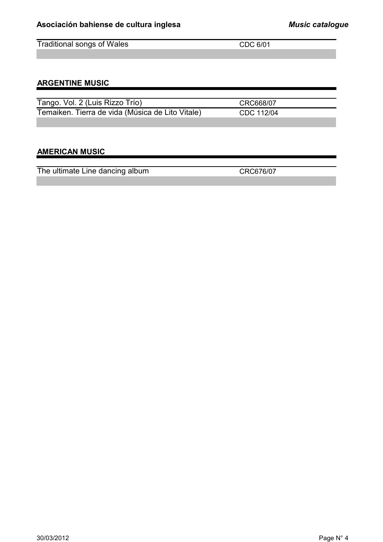Traditional songs of Wales CDC 6/01

# **ARGENTINE MUSIC**

| Tango. Vol. 2 (Luis Rizzo Trío)                  | CRC668/07  |
|--------------------------------------------------|------------|
| Temaiken. Tierra de vida (Música de Lito Vitale) | CDC 112/04 |
|                                                  |            |

### **AMERICAN MUSIC**

The ultimate Line dancing album CRC676/07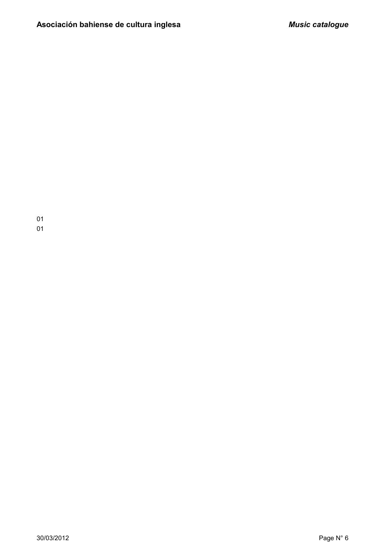$\overline{\phantom{0}}$  $\overline{\phantom{0}}$